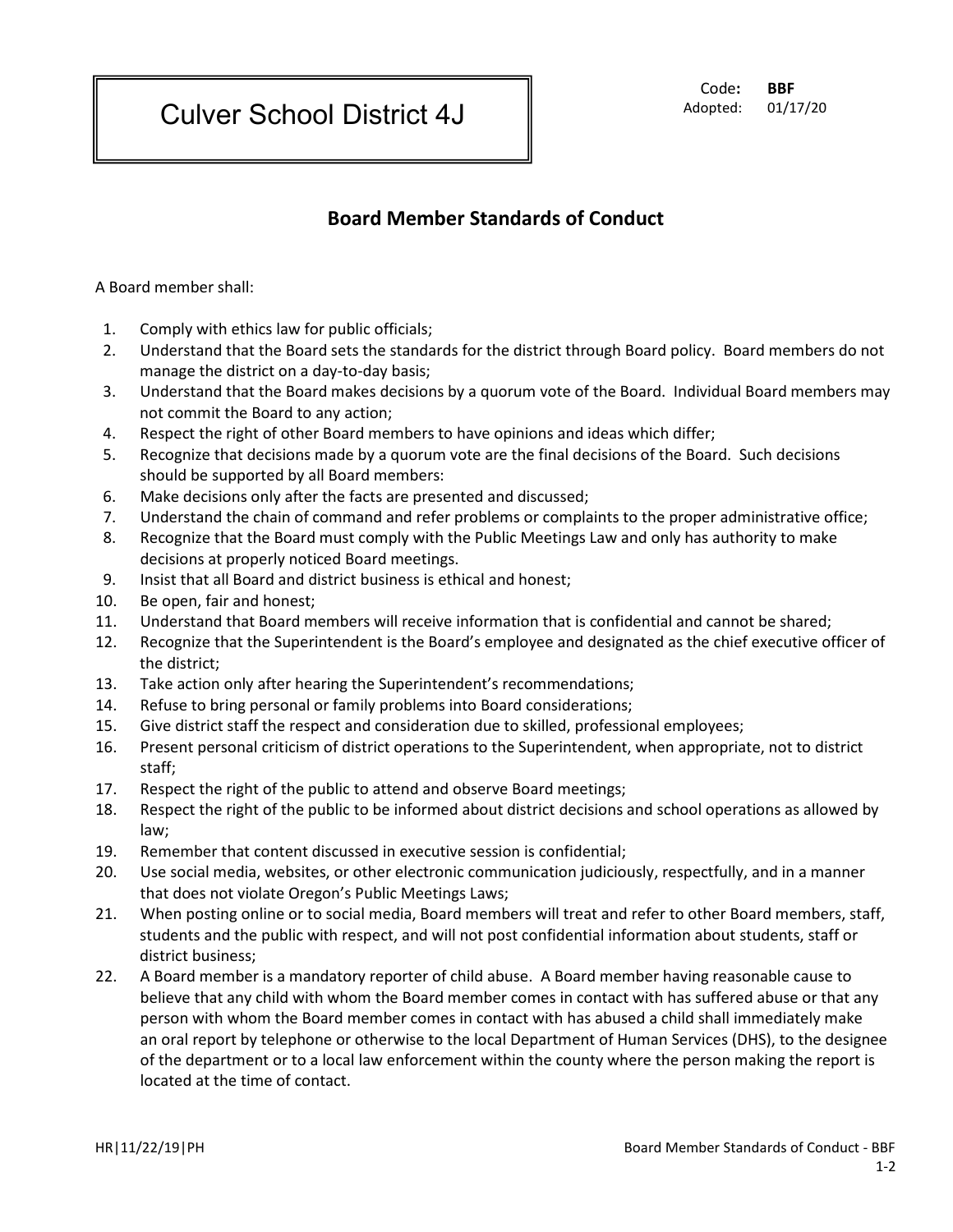Culver School District 4J

 Code**: BBF** Adopted: 01/17/20

## **Board Member Standards of Conduct**

A Board member shall:

- 1. Comply with ethics law for public officials;
- 2. Understand that the Board sets the standards for the district through Board policy. Board members do not manage the district on a day-to-day basis;
- 3. Understand that the Board makes decisions by a quorum vote of the Board. Individual Board members may not commit the Board to any action;
- 4. Respect the right of other Board members to have opinions and ideas which differ;
- 5. Recognize that decisions made by a quorum vote are the final decisions of the Board. Such decisions should be supported by all Board members:
- 6. Make decisions only after the facts are presented and discussed;
- 7. Understand the chain of command and refer problems or complaints to the proper administrative office;
- 8. Recognize that the Board must comply with the Public Meetings Law and only has authority to make decisions at properly noticed Board meetings.
- 9. Insist that all Board and district business is ethical and honest;
- 10. Be open, fair and honest;
- 11. Understand that Board members will receive information that is confidential and cannot be shared;
- 12. Recognize that the Superintendent is the Board's employee and designated as the chief executive officer of the district;
- 13. Take action only after hearing the Superintendent's recommendations;
- 14. Refuse to bring personal or family problems into Board considerations;
- 15. Give district staff the respect and consideration due to skilled, professional employees;
- 16. Present personal criticism of district operations to the Superintendent, when appropriate, not to district staff;
- 17. Respect the right of the public to attend and observe Board meetings;
- 18. Respect the right of the public to be informed about district decisions and school operations as allowed by law;
- 19. Remember that content discussed in executive session is confidential;
- 20. Use social media, websites, or other electronic communication judiciously, respectfully, and in a manner that does not violate Oregon's Public Meetings Laws;
- 21. When posting online or to social media, Board members will treat and refer to other Board members, staff, students and the public with respect, and will not post confidential information about students, staff or district business;
- 22. A Board member is a mandatory reporter of child abuse. A Board member having reasonable cause to believe that any child with whom the Board member comes in contact with has suffered abuse or that any person with whom the Board member comes in contact with has abused a child shall immediately make an oral report by telephone or otherwise to the local Department of Human Services (DHS), to the designee of the department or to a local law enforcement within the county where the person making the report is located at the time of contact.